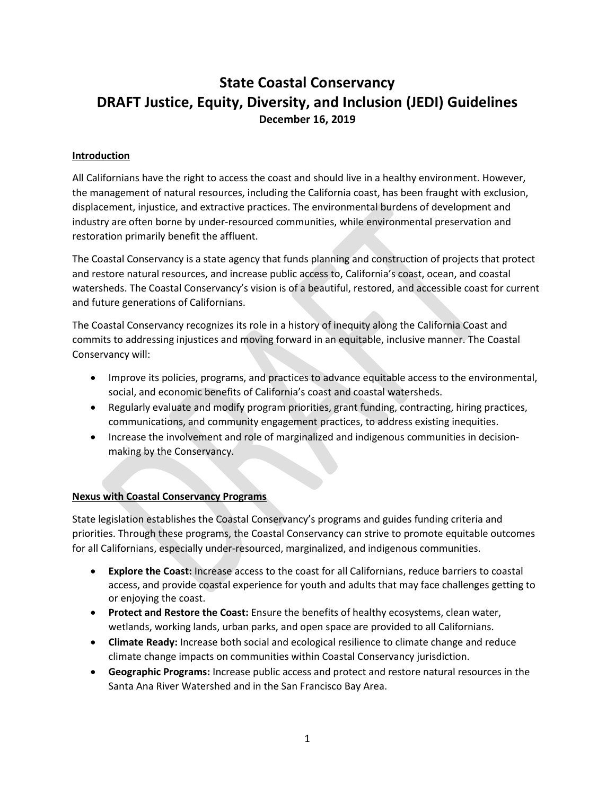## **State Coastal Conservancy DRAFT Justice, Equity, Diversity, and Inclusion (JEDI) Guidelines December 16, 2019**

#### **Introduction**

All Californians have the right to access the coast and should live in a healthy environment. However, the management of natural resources, including the California coast, has been fraught with exclusion, displacement, injustice, and extractive practices. The environmental burdens of development and industry are often borne by under-resourced communities, while environmental preservation and restoration primarily benefit the affluent.

The Coastal Conservancy is a state agency that funds planning and construction of projects that protect and restore natural resources, and increase public access to, California's coast, ocean, and coastal watersheds. The Coastal Conservancy's vision is of a beautiful, restored, and accessible coast for current and future generations of Californians.

The Coastal Conservancy recognizes its role in a history of inequity along the California Coast and commits to addressing injustices and moving forward in an equitable, inclusive manner. The Coastal Conservancy will:

- Improve its policies, programs, and practices to advance equitable access to the environmental, social, and economic benefits of California's coast and coastal watersheds.
- Regularly evaluate and modify program priorities, grant funding, contracting, hiring practices, communications, and community engagement practices, to address existing inequities.
- Increase the involvement and role of marginalized and indigenous communities in decisionmaking by the Conservancy.

#### **Nexus with Coastal Conservancy Programs**

State legislation establishes the Coastal Conservancy's programs and guides funding criteria and priorities. Through these programs, the Coastal Conservancy can strive to promote equitable outcomes for all Californians, especially under-resourced, marginalized, and indigenous communities.

- **Explore the Coast:** Increase access to the coast for all Californians, reduce barriers to coastal access, and provide coastal experience for youth and adults that may face challenges getting to or enjoying the coast.
- **Protect and Restore the Coast:** Ensure the benefits of healthy ecosystems, clean water, wetlands, working lands, urban parks, and open space are provided to all Californians.
- **Climate Ready:** Increase both social and ecological resilience to climate change and reduce climate change impacts on communities within Coastal Conservancy jurisdiction.
- **Geographic Programs:** Increase public access and protect and restore natural resources in the Santa Ana River Watershed and in the San Francisco Bay Area.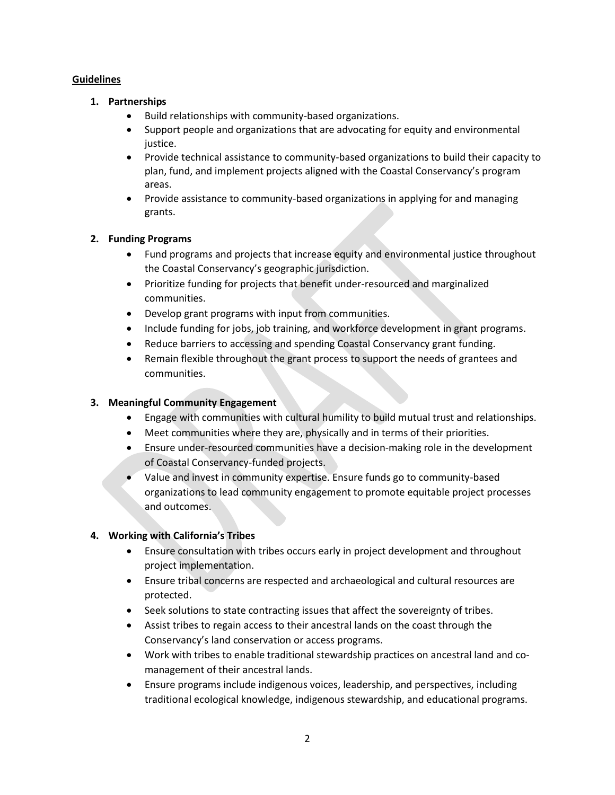#### **Guidelines**

#### **1. Partnerships**

- Build relationships with community-based organizations.
- Support people and organizations that are advocating for equity and environmental justice.
- Provide technical assistance to community-based organizations to build their capacity to plan, fund, and implement projects aligned with the Coastal Conservancy's program areas.
- Provide assistance to community-based organizations in applying for and managing grants.

## **2. Funding Programs**

- Fund programs and projects that increase equity and environmental justice throughout the Coastal Conservancy's geographic jurisdiction.
- Prioritize funding for projects that benefit under-resourced and marginalized communities.
- Develop grant programs with input from communities.
- Include funding for jobs, job training, and workforce development in grant programs.
- Reduce barriers to accessing and spending Coastal Conservancy grant funding.
- Remain flexible throughout the grant process to support the needs of grantees and communities.

## **3. Meaningful Community Engagement**

- Engage with communities with cultural humility to build mutual trust and relationships.
- Meet communities where they are, physically and in terms of their priorities.
- Ensure under-resourced communities have a decision-making role in the development of Coastal Conservancy-funded projects.
- Value and invest in community expertise. Ensure funds go to community-based organizations to lead community engagement to promote equitable project processes and outcomes.

## **4. Working with California's Tribes**

- Ensure consultation with tribes occurs early in project development and throughout project implementation.
- Ensure tribal concerns are respected and archaeological and cultural resources are protected.
- Seek solutions to state contracting issues that affect the sovereignty of tribes.
- Assist tribes to regain access to their ancestral lands on the coast through the Conservancy's land conservation or access programs.
- Work with tribes to enable traditional stewardship practices on ancestral land and comanagement of their ancestral lands.
- Ensure programs include indigenous voices, leadership, and perspectives, including traditional ecological knowledge, indigenous stewardship, and educational programs.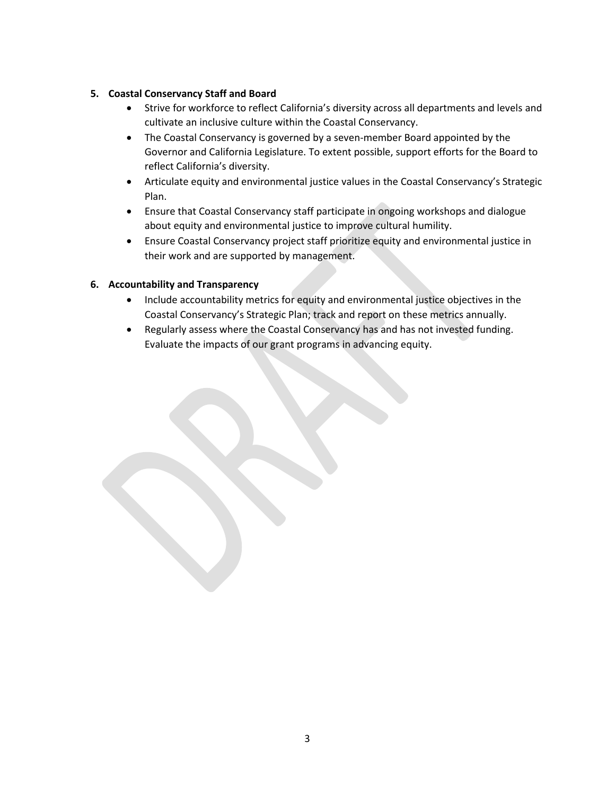## **5. Coastal Conservancy Staff and Board**

- Strive for workforce to reflect California's diversity across all departments and levels and cultivate an inclusive culture within the Coastal Conservancy.
- The Coastal Conservancy is governed by a seven-member Board appointed by the Governor and California Legislature. To extent possible, support efforts for the Board to reflect California's diversity.
- Articulate equity and environmental justice values in the Coastal Conservancy's Strategic Plan.
- Ensure that Coastal Conservancy staff participate in ongoing workshops and dialogue about equity and environmental justice to improve cultural humility.
- Ensure Coastal Conservancy project staff prioritize equity and environmental justice in their work and are supported by management.

## **6. Accountability and Transparency**

- Include accountability metrics for equity and environmental justice objectives in the Coastal Conservancy's Strategic Plan; track and report on these metrics annually.
- Regularly assess where the Coastal Conservancy has and has not invested funding. Evaluate the impacts of our grant programs in advancing equity.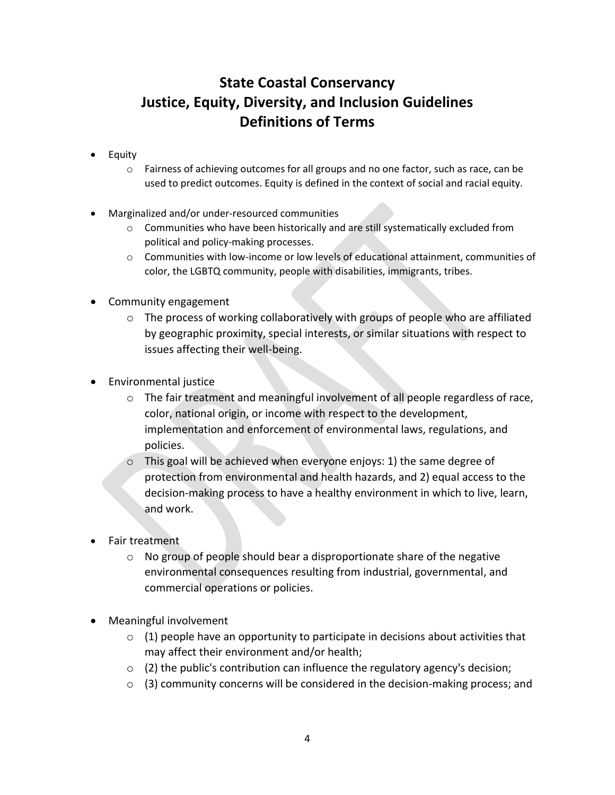# **State Coastal Conservancy Justice, Equity, Diversity, and Inclusion Guidelines Definitions of Terms**

- Equity
	- $\circ$  Fairness of achieving outcomes for all groups and no one factor, such as race, can be used to predict outcomes. Equity is defined in the context of social and racial equity.
- Marginalized and/or under-resourced communities
	- $\circ$  Communities who have been historically and are still systematically excluded from political and policy-making processes.
	- o Communities with low-income or low levels of educational attainment, communities of color, the LGBTQ community, people with disabilities, immigrants, tribes.
- Community engagement
	- o The process of working collaboratively with groups of people who are affiliated by geographic proximity, special interests, or similar situations with respect to issues affecting their well-being.
- Environmental justice
	- o The fair treatment and meaningful involvement of all people regardless of race, color, national origin, or income with respect to the development, implementation and enforcement of environmental laws, regulations, and policies.
	- o This goal will be achieved when everyone enjoys: 1) the same degree of protection from environmental and health hazards, and 2) equal access to the decision-making process to have a healthy environment in which to live, learn, and work.
- Fair treatment
	- o No group of people should bear a disproportionate share of the negative environmental consequences resulting from industrial, governmental, and commercial operations or policies.
- Meaningful involvement
	- $\circ$  (1) people have an opportunity to participate in decisions about activities that may affect their environment and/or health;
	- $\circ$  (2) the public's contribution can influence the regulatory agency's decision;
	- o (3) community concerns will be considered in the decision-making process; and